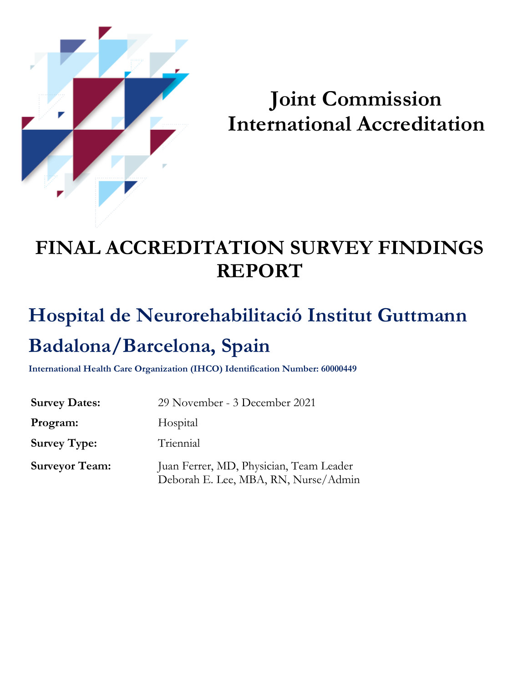

# **Joint Commission International Accreditation**

# **FINAL ACCREDITATION SURVEY FINDINGS REPORT**

# **Hospital de Neurorehabilitació Institut Guttmann Badalona/Barcelona, Spain**

**International Health Care Organization (IHCO) Identification Number: 60000449**

| <b>Survey Dates:</b>  | 29 November - 3 December 2021                                                   |  |
|-----------------------|---------------------------------------------------------------------------------|--|
| Program:              | Hospital                                                                        |  |
| <b>Survey Type:</b>   | Triennial                                                                       |  |
| <b>Surveyor Team:</b> | Juan Ferrer, MD, Physician, Team Leader<br>Deborah E. Lee, MBA, RN, Nurse/Admin |  |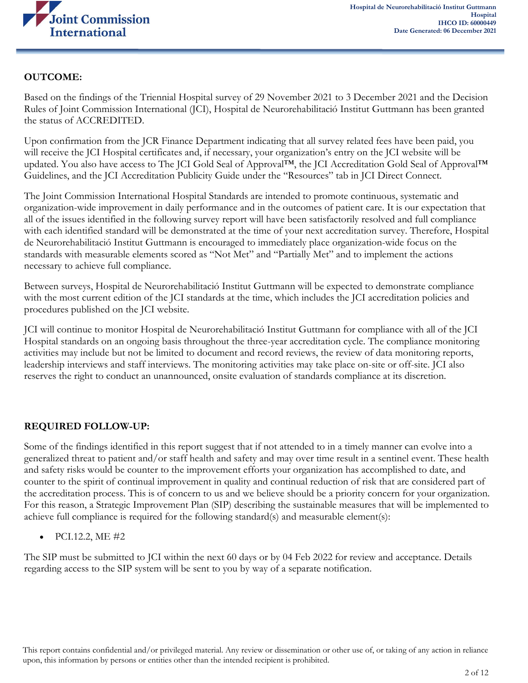

### **OUTCOME:**

Based on the findings of the Triennial Hospital survey of 29 November 2021 to 3 December 2021 and the Decision Rules of Joint Commission International (JCI), Hospital de Neurorehabilitació Institut Guttmann has been granted the status of ACCREDITED.

Upon confirmation from the JCR Finance Department indicating that all survey related fees have been paid, you will receive the JCI Hospital certificates and, if necessary, your organization's entry on the JCI website will be updated. You also have access to The JCI Gold Seal of Approval™, the JCI Accreditation Gold Seal of Approval™ Guidelines, and the JCI Accreditation Publicity Guide under the "Resources" tab in JCI Direct Connect.

The Joint Commission International Hospital Standards are intended to promote continuous, systematic and organization-wide improvement in daily performance and in the outcomes of patient care. It is our expectation that all of the issues identified in the following survey report will have been satisfactorily resolved and full compliance with each identified standard will be demonstrated at the time of your next accreditation survey. Therefore, Hospital de Neurorehabilitació Institut Guttmann is encouraged to immediately place organization-wide focus on the standards with measurable elements scored as "Not Met" and "Partially Met" and to implement the actions necessary to achieve full compliance.

Between surveys, Hospital de Neurorehabilitació Institut Guttmann will be expected to demonstrate compliance with the most current edition of the JCI standards at the time, which includes the JCI accreditation policies and procedures published on the JCI website.

JCI will continue to monitor Hospital de Neurorehabilitació Institut Guttmann for compliance with all of the JCI Hospital standards on an ongoing basis throughout the three-year accreditation cycle. The compliance monitoring activities may include but not be limited to document and record reviews, the review of data monitoring reports, leadership interviews and staff interviews. The monitoring activities may take place on-site or off-site. JCI also reserves the right to conduct an unannounced, onsite evaluation of standards compliance at its discretion.

### **REQUIRED FOLLOW-UP:**

Some of the findings identified in this report suggest that if not attended to in a timely manner can evolve into a generalized threat to patient and/or staff health and safety and may over time result in a sentinel event. These health and safety risks would be counter to the improvement efforts your organization has accomplished to date, and counter to the spirit of continual improvement in quality and continual reduction of risk that are considered part of the accreditation process. This is of concern to us and we believe should be a priority concern for your organization. For this reason, a Strategic Improvement Plan (SIP) describing the sustainable measures that will be implemented to achieve full compliance is required for the following standard(s) and measurable element(s):

• PCI.12.2, ME  $#2$ 

The SIP must be submitted to JCI within the next 60 days or by 04 Feb 2022 for review and acceptance. Details regarding access to the SIP system will be sent to you by way of a separate notification.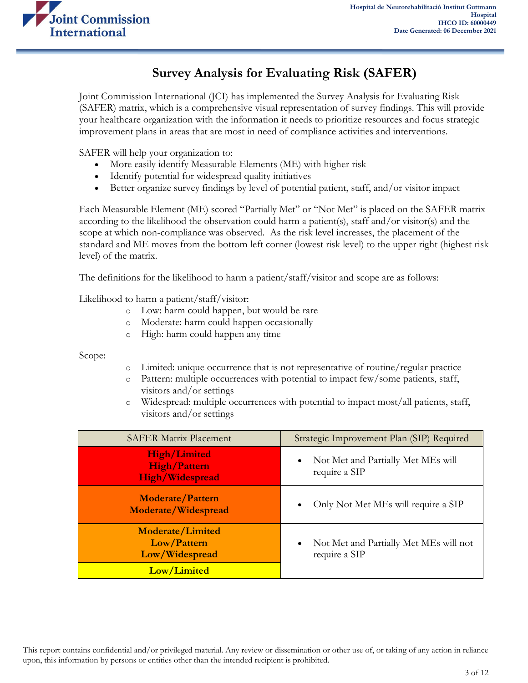

# **Survey Analysis for Evaluating Risk (SAFER)**

Joint Commission International (JCI) has implemented the Survey Analysis for Evaluating Risk (SAFER) matrix, which is a comprehensive visual representation of survey findings. This will provide your healthcare organization with the information it needs to prioritize resources and focus strategic improvement plans in areas that are most in need of compliance activities and interventions.

SAFER will help your organization to:

- More easily identify Measurable Elements (ME) with higher risk
- Identify potential for widespread quality initiatives
- Better organize survey findings by level of potential patient, staff, and/or visitor impact

Each Measurable Element (ME) scored "Partially Met" or "Not Met" is placed on the SAFER matrix according to the likelihood the observation could harm a patient(s), staff and/or visitor(s) and the scope at which non-compliance was observed. As the risk level increases, the placement of the standard and ME moves from the bottom left corner (lowest risk level) to the upper right (highest risk level) of the matrix.

The definitions for the likelihood to harm a patient/staff/visitor and scope are as follows:

Likelihood to harm a patient/staff/visitor:

- o Low: harm could happen, but would be rare
- o Moderate: harm could happen occasionally
- o High: harm could happen any time

Scope:

- o Limited: unique occurrence that is not representative of routine/regular practice
- o Pattern: multiple occurrences with potential to impact few/some patients, staff, visitors and/or settings
- o Widespread: multiple occurrences with potential to impact most/all patients, staff, visitors and/or settings

| <b>SAFER Matrix Placement</b>                                        | Strategic Improvement Plan (SIP) Required                            |  |
|----------------------------------------------------------------------|----------------------------------------------------------------------|--|
| <b>High/Limited</b><br><b>High/Pattern</b><br><b>High/Widespread</b> | Not Met and Partially Met MEs will<br>$\bullet$<br>require a SIP     |  |
| <b>Moderate/Pattern</b><br>Moderate/Widespread                       | Only Not Met MEs will require a SIP                                  |  |
| <b>Moderate/Limited</b><br>Low/Pattern<br>Low/Widespread             | Not Met and Partially Met MEs will not<br>$\bullet$<br>require a SIP |  |
| Low/Limited                                                          |                                                                      |  |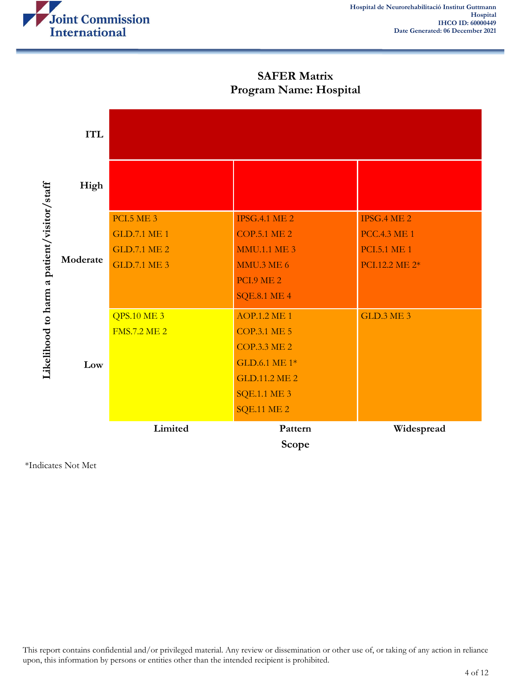

**SAFER Matrix Program Name: Hospital**

|                                            | <b>ITL</b> |                                                                                        |                                                                                                                                                         |                                                                             |
|--------------------------------------------|------------|----------------------------------------------------------------------------------------|---------------------------------------------------------------------------------------------------------------------------------------------------------|-----------------------------------------------------------------------------|
| Likelihood to harm a patient/visitor/staff | High       |                                                                                        |                                                                                                                                                         |                                                                             |
|                                            | Moderate   | <b>PCI.5 ME 3</b><br><b>GLD.7.1 ME 1</b><br><b>GLD.7.1 ME 2</b><br><b>GLD.7.1 ME 3</b> | <b>IPSG.4.1 ME 2</b><br><b>COP.5.1 ME 2</b><br><b>MMU.1.1 ME 3</b><br><b>MMU.3 ME 6</b><br><b>PCI.9 ME 2</b><br><b>SQE.8.1 ME 4</b>                     | IPSG.4 ME 2<br><b>PCC.4.3 ME 1</b><br><b>PCI.5.1 ME 1</b><br>PCI.12.2 ME 2* |
|                                            | Low        | <b>QPS.10 ME 3</b><br><b>FMS.7.2 ME 2</b>                                              | <b>AOP.1.2 ME 1</b><br><b>COP.3.1 ME 5</b><br><b>COP.3.3 ME 2</b><br>GLD.6.1 ME 1*<br><b>GLD.11.2 ME 2</b><br><b>SQE.1.1 ME 3</b><br><b>SQE.11 ME 2</b> | <b>GLD.3 ME 3</b>                                                           |
|                                            |            | Limited                                                                                | Pattern<br>Scope                                                                                                                                        | Widespread                                                                  |

\*Indicates Not Met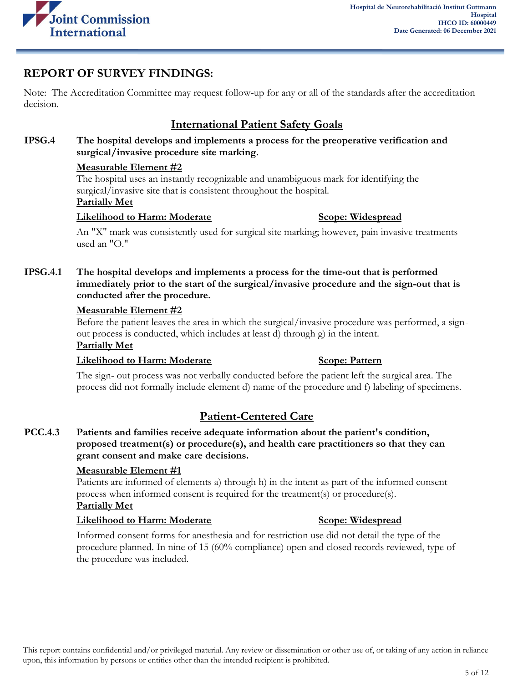

# **REPORT OF SURVEY FINDINGS:**

Note: The Accreditation Committee may request follow-up for any or all of the standards after the accreditation decision.

# **International Patient Safety Goals**

**IPSG.4 The hospital develops and implements a process for the preoperative verification and surgical/invasive procedure site marking.**

### **Measurable Element #2**

The hospital uses an instantly recognizable and unambiguous mark for identifying the surgical/invasive site that is consistent throughout the hospital.

### **Partially Met**

### **Likelihood to Harm: Moderate Scope: Widespread**

An "X" mark was consistently used for surgical site marking; however, pain invasive treatments used an "O."

**IPSG.4.1 The hospital develops and implements a process for the time-out that is performed immediately prior to the start of the surgical/invasive procedure and the sign-out that is conducted after the procedure.**

### **Measurable Element #2**

Before the patient leaves the area in which the surgical/invasive procedure was performed, a signout process is conducted, which includes at least d) through g) in the intent.

## **Partially Met**

### **Likelihood to Harm: Moderate Scope: Pattern**

The sign- out process was not verbally conducted before the patient left the surgical area. The process did not formally include element d) name of the procedure and f) labeling of specimens.

# **Patient-Centered Care**

**PCC.4.3 Patients and families receive adequate information about the patient's condition, proposed treatment(s) or procedure(s), and health care practitioners so that they can grant consent and make care decisions.**

### **Measurable Element #1**

Patients are informed of elements a) through h) in the intent as part of the informed consent process when informed consent is required for the treatment(s) or procedure(s). **Partially Met**

### **Likelihood to Harm: Moderate Scope: Widespread**

Informed consent forms for anesthesia and for restriction use did not detail the type of the procedure planned. In nine of 15 (60% compliance) open and closed records reviewed, type of the procedure was included.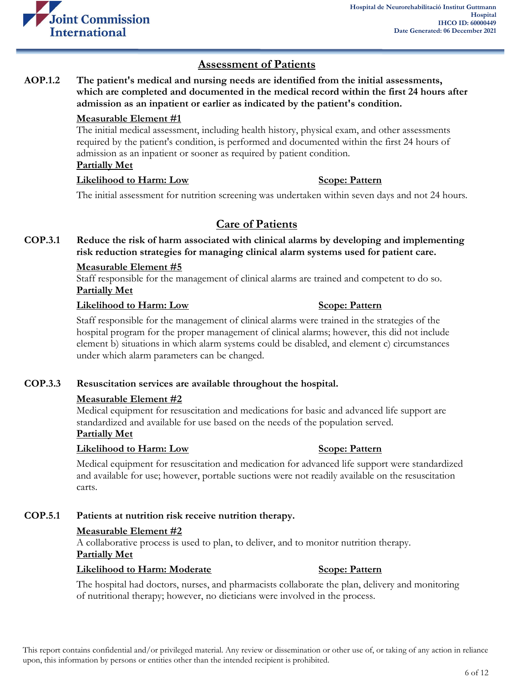

# **Assessment of Patients**

**AOP.1.2 The patient's medical and nursing needs are identified from the initial assessments, which are completed and documented in the medical record within the first 24 hours after admission as an inpatient or earlier as indicated by the patient's condition.**

### **Measurable Element #1**

The initial medical assessment, including health history, physical exam, and other assessments required by the patient's condition, is performed and documented within the first 24 hours of admission as an inpatient or sooner as required by patient condition. **Partially Met**

# **Likelihood to Harm: Low Scope: Pattern**

The initial assessment for nutrition screening was undertaken within seven days and not 24 hours.

# **Care of Patients**

**COP.3.1 Reduce the risk of harm associated with clinical alarms by developing and implementing risk reduction strategies for managing clinical alarm systems used for patient care.**

### **Measurable Element #5**

Staff responsible for the management of clinical alarms are trained and competent to do so. **Partially Met**

### **Likelihood to Harm:** Low Scope: Pattern

Staff responsible for the management of clinical alarms were trained in the strategies of the hospital program for the proper management of clinical alarms; however, this did not include element b) situations in which alarm systems could be disabled, and element c) circumstances under which alarm parameters can be changed.

### **COP.3.3 Resuscitation services are available throughout the hospital.**

### **Measurable Element #2**

Medical equipment for resuscitation and medications for basic and advanced life support are standardized and available for use based on the needs of the population served. **Partially Met**

### **Likelihood to Harm:** Low Scope: Pattern

Medical equipment for resuscitation and medication for advanced life support were standardized and available for use; however, portable suctions were not readily available on the resuscitation carts.

### **COP.5.1 Patients at nutrition risk receive nutrition therapy.**

### **Measurable Element #2**

A collaborative process is used to plan, to deliver, and to monitor nutrition therapy. **Partially Met**

### **Likelihood to Harm: Moderate <b>Scope: Pattern**

The hospital had doctors, nurses, and pharmacists collaborate the plan, delivery and monitoring of nutritional therapy; however, no dieticians were involved in the process.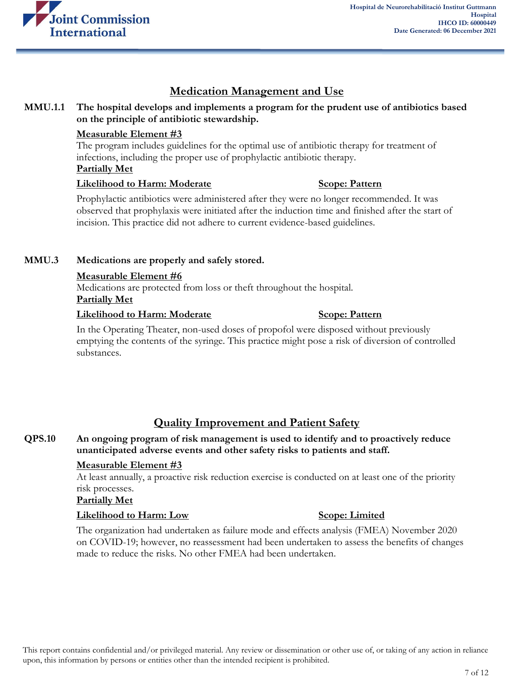

# **Medication Management and Use**

### **MMU.1.1 The hospital develops and implements a program for the prudent use of antibiotics based on the principle of antibiotic stewardship.**

### **Measurable Element #3**

The program includes guidelines for the optimal use of antibiotic therapy for treatment of infections, including the proper use of prophylactic antibiotic therapy. **Partially Met**

### **Likelihood to Harm: Moderate Scope: Pattern**

Prophylactic antibiotics were administered after they were no longer recommended. It was observed that prophylaxis were initiated after the induction time and finished after the start of incision. This practice did not adhere to current evidence-based guidelines.

### **MMU.3 Medications are properly and safely stored.**

### **Measurable Element #6**

Medications are protected from loss or theft throughout the hospital. **Partially Met**

### **Likelihood to Harm: Moderate Scope: Pattern**

In the Operating Theater, non-used doses of propofol were disposed without previously emptying the contents of the syringe. This practice might pose a risk of diversion of controlled substances.

# **Quality Improvement and Patient Safety**

### **QPS.10 An ongoing program of risk management is used to identify and to proactively reduce unanticipated adverse events and other safety risks to patients and staff.**

### **Measurable Element #3**

At least annually, a proactive risk reduction exercise is conducted on at least one of the priority risk processes.

### **Partially Met**

### **Likelihood to Harm: Low Scope: Limited**

The organization had undertaken as failure mode and effects analysis (FMEA) November 2020 on COVID-19; however, no reassessment had been undertaken to assess the benefits of changes made to reduce the risks. No other FMEA had been undertaken.

This report contains confidential and/or privileged material. Any review or dissemination or other use of, or taking of any action in reliance upon, this information by persons or entities other than the intended recipient is prohibited.

### 7 of 12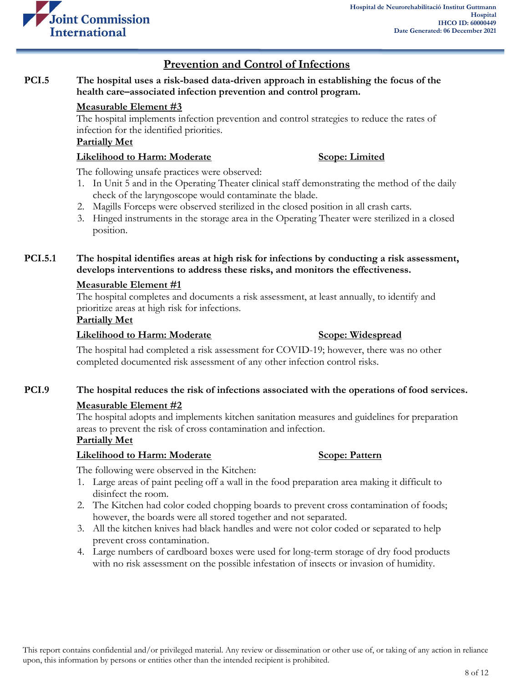

# **Prevention and Control of Infections**

### **PCI.5 The hospital uses a risk-based data-driven approach in establishing the focus of the health care–associated infection prevention and control program.**

### **Measurable Element #3**

The hospital implements infection prevention and control strategies to reduce the rates of infection for the identified priorities.

### **Partially Met**

### **Likelihood to Harm: Moderate Scope: Limited**

The following unsafe practices were observed:

- 1. In Unit 5 and in the Operating Theater clinical staff demonstrating the method of the daily check of the laryngoscope would contaminate the blade.
- 2. Magills Forceps were observed sterilized in the closed position in all crash carts.
- 3. Hinged instruments in the storage area in the Operating Theater were sterilized in a closed position.

### **PCI.5.1 The hospital identifies areas at high risk for infections by conducting a risk assessment, develops interventions to address these risks, and monitors the effectiveness.**

### **Measurable Element #1**

The hospital completes and documents a risk assessment, at least annually, to identify and prioritize areas at high risk for infections.

### **Partially Met**

### **Likelihood to Harm: Moderate Scope: Widespread**

The hospital had completed a risk assessment for COVID-19; however, there was no other completed documented risk assessment of any other infection control risks.

### **PCI.9 The hospital reduces the risk of infections associated with the operations of food services.**

### **Measurable Element #2**

The hospital adopts and implements kitchen sanitation measures and guidelines for preparation areas to prevent the risk of cross contamination and infection.

### **Partially Met**

### **Likelihood to Harm: Moderate Scope: Pattern**

The following were observed in the Kitchen:

- 1. Large areas of paint peeling off a wall in the food preparation area making it difficult to disinfect the room.
- 2. The Kitchen had color coded chopping boards to prevent cross contamination of foods; however, the boards were all stored together and not separated.
- 3. All the kitchen knives had black handles and were not color coded or separated to help prevent cross contamination.
- 4. Large numbers of cardboard boxes were used for long-term storage of dry food products with no risk assessment on the possible infestation of insects or invasion of humidity.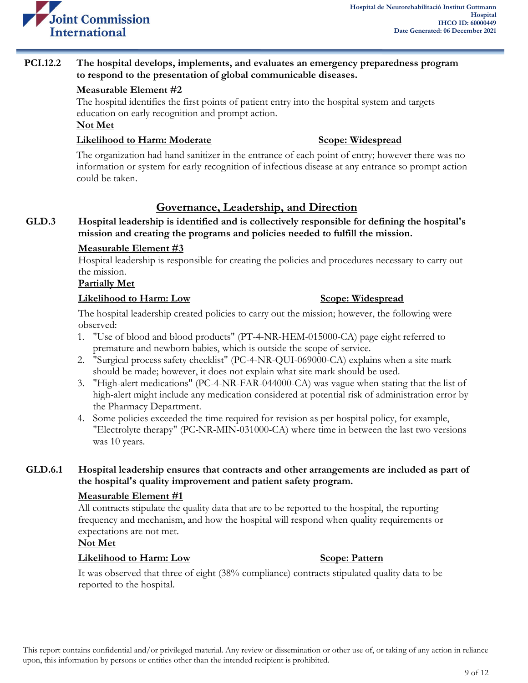

### **PCI.12.2 The hospital develops, implements, and evaluates an emergency preparedness program to respond to the presentation of global communicable diseases.**

### **Measurable Element #2**

The hospital identifies the first points of patient entry into the hospital system and targets education on early recognition and prompt action.

### **Not Met**

### **Likelihood to Harm: Moderate Scope: Widespread**

The organization had hand sanitizer in the entrance of each point of entry; however there was no information or system for early recognition of infectious disease at any entrance so prompt action could be taken.

# **Governance, Leadership, and Direction**

### **GLD.3 Hospital leadership is identified and is collectively responsible for defining the hospital's mission and creating the programs and policies needed to fulfill the mission.**

### **Measurable Element #3**

Hospital leadership is responsible for creating the policies and procedures necessary to carry out the mission.

### **Partially Met**

### **Likelihood to Harm: Low Scope: Widespread**

The hospital leadership created policies to carry out the mission; however, the following were observed:

- 1. "Use of blood and blood products" (PT-4-NR-HEM-015000-CA) page eight referred to premature and newborn babies, which is outside the scope of service.
- 2. "Surgical process safety checklist" (PC-4-NR-QUI-069000-CA) explains when a site mark should be made; however, it does not explain what site mark should be used.
- 3. "High-alert medications" (PC-4-NR-FAR-044000-CA) was vague when stating that the list of high-alert might include any medication considered at potential risk of administration error by the Pharmacy Department.
- 4. Some policies exceeded the time required for revision as per hospital policy, for example, "Electrolyte therapy" (PC-NR-MIN-031000-CA) where time in between the last two versions was 10 years.

### **GLD.6.1 Hospital leadership ensures that contracts and other arrangements are included as part of the hospital's quality improvement and patient safety program.**

### **Measurable Element #1**

All contracts stipulate the quality data that are to be reported to the hospital, the reporting frequency and mechanism, and how the hospital will respond when quality requirements or expectations are not met.

### **Not Met**

### **Likelihood to Harm: Low Scope: Pattern**

It was observed that three of eight (38% compliance) contracts stipulated quality data to be reported to the hospital.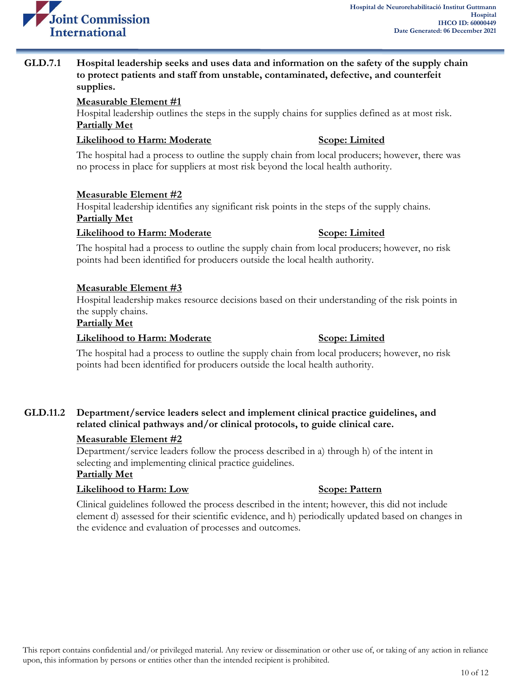

### **GLD.7.1 Hospital leadership seeks and uses data and information on the safety of the supply chain to protect patients and staff from unstable, contaminated, defective, and counterfeit supplies.**

### **Measurable Element #1**

Hospital leadership outlines the steps in the supply chains for supplies defined as at most risk. **Partially Met**

### **Likelihood to Harm: Moderate Scope: Limited**

The hospital had a process to outline the supply chain from local producers; however, there was no process in place for suppliers at most risk beyond the local health authority.

### **Measurable Element #2**

Hospital leadership identifies any significant risk points in the steps of the supply chains. **Partially Met**

### **Likelihood to Harm: Moderate Scope: Limited**

The hospital had a process to outline the supply chain from local producers; however, no risk points had been identified for producers outside the local health authority.

### **Measurable Element #3**

Hospital leadership makes resource decisions based on their understanding of the risk points in the supply chains.

### **Partially Met**

### **Likelihood to Harm: Moderate Scope: Limited**

### The hospital had a process to outline the supply chain from local producers; however, no risk points had been identified for producers outside the local health authority.

### **GLD.11.2 Department/service leaders select and implement clinical practice guidelines, and related clinical pathways and/or clinical protocols, to guide clinical care.**

### **Measurable Element #2**

Department/service leaders follow the process described in a) through h) of the intent in selecting and implementing clinical practice guidelines. **Partially Met**

# **Likelihood to Harm:** Low Scope: Pattern

Clinical guidelines followed the process described in the intent; however, this did not include element d) assessed for their scientific evidence, and h) periodically updated based on changes in the evidence and evaluation of processes and outcomes.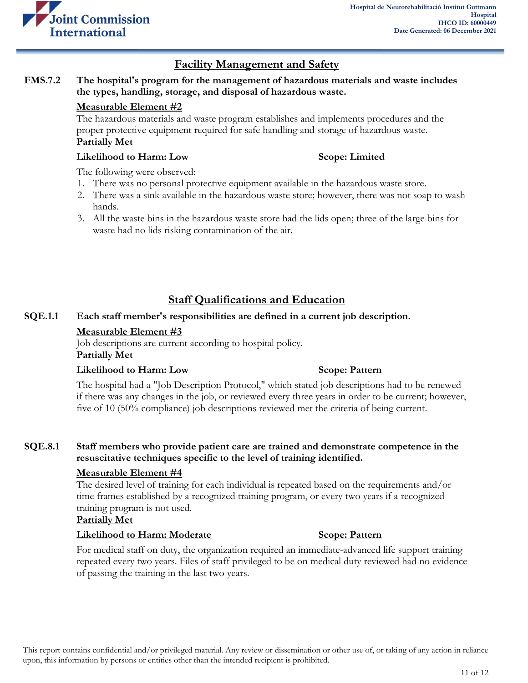

## **Facility Management and Safety**

### **FMS.7.2 The hospital's program for the management of hazardous materials and waste includes the types, handling, storage, and disposal of hazardous waste.**

### **Measurable Element #2**

The hazardous materials and waste program establishes and implements procedures and the proper protective equipment required for safe handling and storage of hazardous waste. **Partially Met**

### **Likelihood to Harm: Low Scope: Limited**

The following were observed:

- 1. There was no personal protective equipment available in the hazardous waste store.
- 2. There was a sink available in the hazardous waste store; however, there was not soap to wash hands.
- 3. All the waste bins in the hazardous waste store had the lids open; three of the large bins for waste had no lids risking contamination of the air.

# **Staff Qualifications and Education**

### **SQE.1.1 Each staff member's responsibilities are defined in a current job description.**

### **Measurable Element #3**

Job descriptions are current according to hospital policy.

### **Partially Met**

### **Likelihood to Harm: Low Scope: Pattern**

The hospital had a "Job Description Protocol," which stated job descriptions had to be renewed if there was any changes in the job, or reviewed every three years in order to be current; however, five of 10 (50% compliance) job descriptions reviewed met the criteria of being current.

### **SQE.8.1 Staff members who provide patient care are trained and demonstrate competence in the resuscitative techniques specific to the level of training identified.**

### **Measurable Element #4**

The desired level of training for each individual is repeated based on the requirements and/or time frames established by a recognized training program, or every two years if a recognized training program is not used.

### **Partially Met**

### **Likelihood to Harm: Moderate Scope: Pattern**

For medical staff on duty, the organization required an immediate-advanced life support training repeated every two years. Files of staff privileged to be on medical duty reviewed had no evidence of passing the training in the last two years.